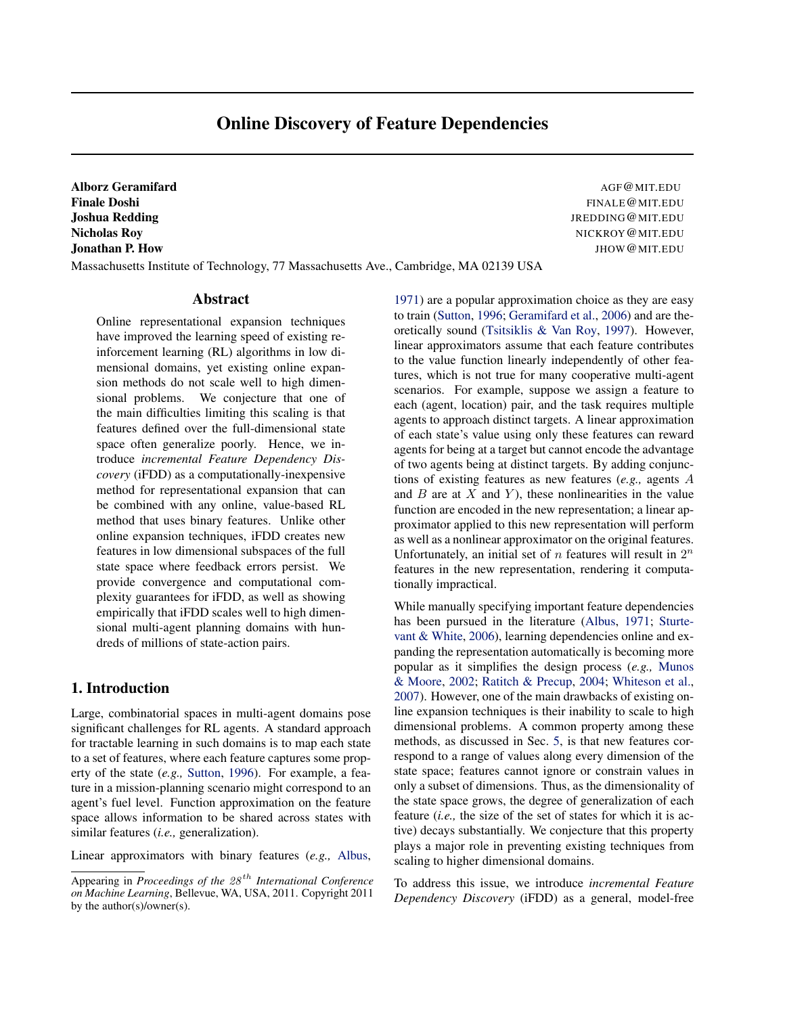# Online Discovery of Feature Dependencies

Alborz Geramifard Agency Contract Contract AGF@MIT.EDU

Massachusetts Institute of Technology, 77 Massachusetts Ave., Cambridge, MA 02139 USA

### Abstract

Online representational expansion techniques have improved the learning speed of existing reinforcement learning (RL) algorithms in low dimensional domains, yet existing online expansion methods do not scale well to high dimensional problems. We conjecture that one of the main difficulties limiting this scaling is that features defined over the full-dimensional state space often generalize poorly. Hence, we introduce *incremental Feature Dependency Discovery* (iFDD) as a computationally-inexpensive method for representational expansion that can be combined with any online, value-based RL method that uses binary features. Unlike other online expansion techniques, iFDD creates new features in low dimensional subspaces of the full state space where feedback errors persist. We provide convergence and computational complexity guarantees for iFDD, as well as showing empirically that iFDD scales well to high dimensional multi-agent planning domains with hundreds of millions of state-action pairs.

# 1. Introduction

Large, combinatorial spaces in multi-agent domains pose significant challenges for RL agents. A standard approach for tractable learning in such domains is to map each state to a set of features, where each feature captures some property of the state (*e.g.,* [Sutton,](#page-7-0) [1996\)](#page-7-0). For example, a feature in a mission-planning scenario might correspond to an agent's fuel level. Function approximation on the feature space allows information to be shared across states with similar features (*i.e.,* generalization).

Linear approximators with binary features (*e.g.,* [Albus,](#page-7-0)

Finale Doshi FINALE@MIT.EDU **Joshua Redding Album Community Community Community Community Community Community Community Community Community** Nicholas Roy NICKROY@MIT.EDU **Jonathan P. How JHOW CONSECTED ASSESSMENT OF A SET OF A SET OF A SET OF A SET OF A SET OF A SET OF A SET OF A SET OF A SET OF A SET OF A SET OF A SET OF A SET OF A SET OF A SET OF A SET OF A SET OF A SET OF A SET OF A SET** 

> [1971\)](#page-7-0) are a popular approximation choice as they are easy to train [\(Sutton,](#page-7-0) [1996;](#page-7-0) [Geramifard et al.,](#page-7-0) [2006\)](#page-7-0) and are theoretically sound [\(Tsitsiklis & Van Roy,](#page-7-0) [1997\)](#page-7-0). However, linear approximators assume that each feature contributes to the value function linearly independently of other features, which is not true for many cooperative multi-agent scenarios. For example, suppose we assign a feature to each (agent, location) pair, and the task requires multiple agents to approach distinct targets. A linear approximation of each state's value using only these features can reward agents for being at a target but cannot encode the advantage of two agents being at distinct targets. By adding conjunctions of existing features as new features (*e.g.,* agents A and  $B$  are at  $X$  and  $Y$ ), these nonlinearities in the value function are encoded in the new representation; a linear approximator applied to this new representation will perform as well as a nonlinear approximator on the original features. Unfortunately, an initial set of  $n$  features will result in  $2^n$ features in the new representation, rendering it computationally impractical.

> While manually specifying important feature dependencies has been pursued in the literature [\(Albus,](#page-7-0) [1971;](#page-7-0) [Sturte](#page-7-0)[vant & White,](#page-7-0) [2006\)](#page-7-0), learning dependencies online and expanding the representation automatically is becoming more popular as it simplifies the design process (*e.g.,* [Munos](#page-7-0) [& Moore,](#page-7-0) [2002;](#page-7-0) [Ratitch & Precup,](#page-7-0) [2004;](#page-7-0) [Whiteson et al.,](#page-7-0) [2007\)](#page-7-0). However, one of the main drawbacks of existing online expansion techniques is their inability to scale to high dimensional problems. A common property among these methods, as discussed in Sec. [5,](#page-6-0) is that new features correspond to a range of values along every dimension of the state space; features cannot ignore or constrain values in only a subset of dimensions. Thus, as the dimensionality of the state space grows, the degree of generalization of each feature (*i.e.,* the size of the set of states for which it is active) decays substantially. We conjecture that this property plays a major role in preventing existing techniques from scaling to higher dimensional domains.

> To address this issue, we introduce *incremental Feature Dependency Discovery* (iFDD) as a general, model-free

Appearing in *Proceedings of the* 28 th *International Conference on Machine Learning*, Bellevue, WA, USA, 2011. Copyright 2011 by the author(s)/owner(s).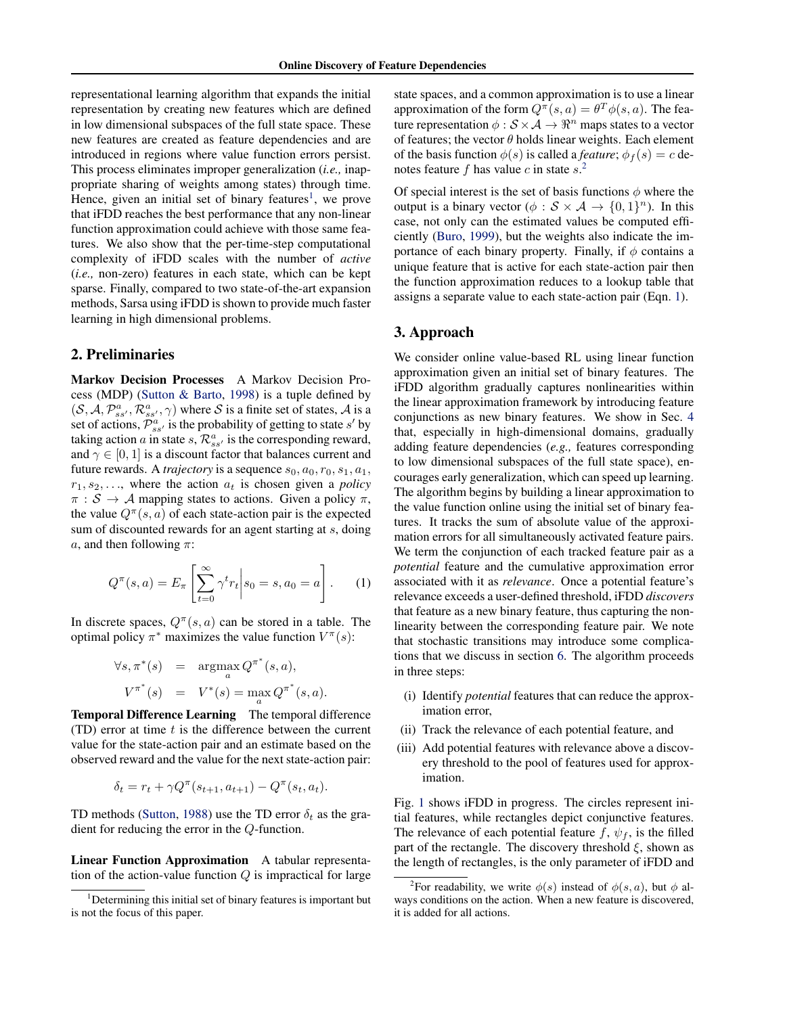representational learning algorithm that expands the initial representation by creating new features which are defined in low dimensional subspaces of the full state space. These new features are created as feature dependencies and are introduced in regions where value function errors persist. This process eliminates improper generalization (*i.e.,* inappropriate sharing of weights among states) through time. Hence, given an initial set of binary features<sup>1</sup>, we prove that iFDD reaches the best performance that any non-linear function approximation could achieve with those same features. We also show that the per-time-step computational complexity of iFDD scales with the number of *active* (*i.e.,* non-zero) features in each state, which can be kept sparse. Finally, compared to two state-of-the-art expansion methods, Sarsa using iFDD is shown to provide much faster learning in high dimensional problems.

### 2. Preliminaries

Markov Decision Processes A Markov Decision Process (MDP) [\(Sutton & Barto,](#page-7-0) [1998\)](#page-7-0) is a tuple defined by  $(S, A, \mathcal{P}_{ss'}^{a}, \mathcal{R}_{ss'}^{a}, \gamma)$  where S is a finite set of states, A is a set of actions,  $\overline{\mathcal{P}}_{ss}^{a}$  is the probability of getting to state s' by taking action a in state  $s, \mathcal{R}^a_{ss'}$  is the corresponding reward, and  $\gamma \in [0, 1]$  is a discount factor that balances current and future rewards. A *trajectory* is a sequence  $s_0$ ,  $a_0$ ,  $r_0$ ,  $s_1$ ,  $a_1$ ,  $r_1, s_2, \ldots$ , where the action  $a_t$  is chosen given a *policy*  $\pi : \mathcal{S} \to \mathcal{A}$  mapping states to actions. Given a policy  $\pi$ , the value  $Q^{\pi}(s, a)$  of each state-action pair is the expected sum of discounted rewards for an agent starting at s, doing a, and then following  $\pi$ :

$$
Q^{\pi}(s, a) = E_{\pi} \left[ \sum_{t=0}^{\infty} \gamma^{t} r_{t} \, \middle| \, s_{0} = s, a_{0} = a \right]. \tag{1}
$$

In discrete spaces,  $Q^{\pi}(s, a)$  can be stored in a table. The optimal policy  $\pi^*$  maximizes the value function  $V^{\pi}(s)$ :

$$
\forall s, \pi^*(s) = \operatorname*{argmax}_{a} Q^{\pi^*}(s, a),
$$
  

$$
V^{\pi^*}(s) = V^*(s) = \max_{a} Q^{\pi^*}(s, a).
$$

Temporal Difference Learning The temporal difference (TD) error at time  $t$  is the difference between the current value for the state-action pair and an estimate based on the observed reward and the value for the next state-action pair:

$$
\delta_t = r_t + \gamma Q^{\pi}(s_{t+1}, a_{t+1}) - Q^{\pi}(s_t, a_t).
$$

TD methods [\(Sutton,](#page-7-0) [1988\)](#page-7-0) use the TD error  $\delta_t$  as the gradient for reducing the error in the Q-function.

Linear Function Approximation A tabular representation of the action-value function  $Q$  is impractical for large state spaces, and a common approximation is to use a linear approximation of the form  $Q^{\pi}(s, a) = \theta^T \phi(s, a)$ . The feature representation  $\phi : \mathcal{S} \times \mathcal{A} \rightarrow \mathbb{R}^n$  maps states to a vector of features; the vector  $\theta$  holds linear weights. Each element of the basis function  $\phi(s)$  is called a *feature*;  $\phi_f(s) = c$  denotes feature f has value c in state  $s^2$ .

Of special interest is the set of basis functions  $\phi$  where the output is a binary vector ( $\phi : \mathcal{S} \times \mathcal{A} \to \{0, 1\}^n$ ). In this case, not only can the estimated values be computed efficiently [\(Buro,](#page-7-0) [1999\)](#page-7-0), but the weights also indicate the importance of each binary property. Finally, if  $\phi$  contains a unique feature that is active for each state-action pair then the function approximation reduces to a lookup table that assigns a separate value to each state-action pair (Eqn. 1).

# 3. Approach

We consider online value-based RL using linear function approximation given an initial set of binary features. The iFDD algorithm gradually captures nonlinearities within the linear approximation framework by introducing feature conjunctions as new binary features. We show in Sec. [4](#page-4-0) that, especially in high-dimensional domains, gradually adding feature dependencies (*e.g.,* features corresponding to low dimensional subspaces of the full state space), encourages early generalization, which can speed up learning. The algorithm begins by building a linear approximation to the value function online using the initial set of binary features. It tracks the sum of absolute value of the approximation errors for all simultaneously activated feature pairs. We term the conjunction of each tracked feature pair as a *potential* feature and the cumulative approximation error associated with it as *relevance*. Once a potential feature's relevance exceeds a user-defined threshold, iFDD *discovers* that feature as a new binary feature, thus capturing the nonlinearity between the corresponding feature pair. We note that stochastic transitions may introduce some complications that we discuss in section [6.](#page-7-0) The algorithm proceeds in three steps:

- (i) Identify *potential* features that can reduce the approximation error,
- (ii) Track the relevance of each potential feature, and
- (iii) Add potential features with relevance above a discovery threshold to the pool of features used for approximation.

Fig. [1](#page-2-0) shows iFDD in progress. The circles represent initial features, while rectangles depict conjunctive features. The relevance of each potential feature f,  $\psi_f$ , is the filled part of the rectangle. The discovery threshold  $\xi$ , shown as the length of rectangles, is the only parameter of iFDD and

<sup>&</sup>lt;sup>1</sup>Determining this initial set of binary features is important but is not the focus of this paper.

<sup>&</sup>lt;sup>2</sup>For readability, we write  $\phi(s)$  instead of  $\phi(s, a)$ , but  $\phi$  always conditions on the action. When a new feature is discovered, it is added for all actions.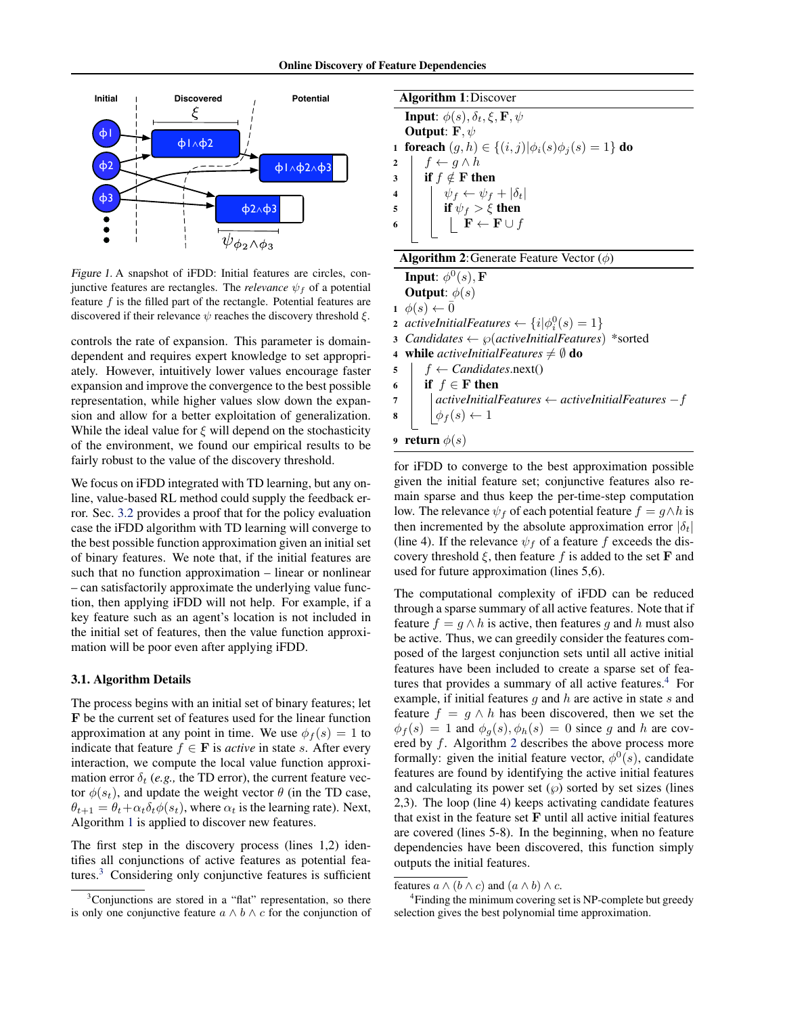<span id="page-2-0"></span>

Figure 1. A snapshot of iFDD: Initial features are circles, conjunctive features are rectangles. The *relevance*  $\psi_f$  of a potential feature  $f$  is the filled part of the rectangle. Potential features are discovered if their relevance  $\psi$  reaches the discovery threshold  $\xi$ .

controls the rate of expansion. This parameter is domaindependent and requires expert knowledge to set appropriately. However, intuitively lower values encourage faster expansion and improve the convergence to the best possible representation, while higher values slow down the expansion and allow for a better exploitation of generalization. While the ideal value for  $\xi$  will depend on the stochasticity of the environment, we found our empirical results to be fairly robust to the value of the discovery threshold.

We focus on iFDD integrated with TD learning, but any online, value-based RL method could supply the feedback error. Sec. [3.2](#page-3-0) provides a proof that for the policy evaluation case the iFDD algorithm with TD learning will converge to the best possible function approximation given an initial set of binary features. We note that, if the initial features are such that no function approximation – linear or nonlinear – can satisfactorily approximate the underlying value function, then applying iFDD will not help. For example, if a key feature such as an agent's location is not included in the initial set of features, then the value function approximation will be poor even after applying iFDD.

#### 3.1. Algorithm Details

The process begins with an initial set of binary features; let F be the current set of features used for the linear function approximation at any point in time. We use  $\phi_f(s) = 1$  to indicate that feature  $f \in \mathbf{F}$  is *active* in state s. After every interaction, we compute the local value function approximation error  $\delta_t$  (*e.g.*, the TD error), the current feature vector  $\phi(s_t)$ , and update the weight vector  $\theta$  (in the TD case,  $\theta_{t+1} = \theta_t + \alpha_t \delta_t \phi(s_t)$ , where  $\alpha_t$  is the learning rate). Next, Algorithm 1 is applied to discover new features.

The first step in the discovery process (lines 1,2) identifies all conjunctions of active features as potential features.<sup>3</sup> Considering only conjunctive features is sufficient



| <b>Algorithm 2:</b> Generate Feature Vector $(\phi)$ |  |  |  |  |
|------------------------------------------------------|--|--|--|--|
|------------------------------------------------------|--|--|--|--|

Input:  $\phi^0(s), \mathbf{F}$ **Output:**  $\phi(s)$  $1 \phi(s) \leftarrow 0$ **2** activeInitialFeatures  $\leftarrow \{i | \phi_i^0(s) = 1\}$ <sup>3</sup> *Candidates* ← ℘(*activeInitialFeatures*) \*sorted 4 while *activeInitialFeatures*  $\neq \emptyset$  do  $\mathfrak{s}$  |  $f \leftarrow \text{C} \text{ and } \text{idates} \text{ .} \text{ next}$ () 6 if  $f \in F$  then <sup>7</sup> *activeInitialFeatures* ← *activeInitialFeatures* −f 8  $\phi_f(s) \leftarrow 1$ 9 return  $\phi(s)$ 

for iFDD to converge to the best approximation possible given the initial feature set; conjunctive features also remain sparse and thus keep the per-time-step computation low. The relevance  $\psi_f$  of each potential feature  $f = g \wedge h$  is then incremented by the absolute approximation error  $|\delta_t|$ (line 4). If the relevance  $\psi_f$  of a feature f exceeds the discovery threshold  $\xi$ , then feature f is added to the set **F** and used for future approximation (lines 5,6).

The computational complexity of iFDD can be reduced through a sparse summary of all active features. Note that if feature  $f = g \wedge h$  is active, then features g and h must also be active. Thus, we can greedily consider the features composed of the largest conjunction sets until all active initial features have been included to create a sparse set of features that provides a summary of all active features.<sup>4</sup> For example, if initial features  $g$  and  $h$  are active in state  $s$  and feature  $f = g \wedge h$  has been discovered, then we set the  $\phi_f(s) = 1$  and  $\phi_g(s), \phi_h(s) = 0$  since g and h are covered by f. Algorithm 2 describes the above process more formally: given the initial feature vector,  $\phi^0(s)$ , candidate features are found by identifying the active initial features and calculating its power set  $(\wp)$  sorted by set sizes (lines 2,3). The loop (line 4) keeps activating candidate features that exist in the feature set  **until all active initial features** are covered (lines 5-8). In the beginning, when no feature dependencies have been discovered, this function simply outputs the initial features.

<sup>&</sup>lt;sup>3</sup>Conjunctions are stored in a "flat" representation, so there is only one conjunctive feature  $a \wedge b \wedge c$  for the conjunction of

features  $a \wedge (b \wedge c)$  and  $(a \wedge b) \wedge c$ .

<sup>&</sup>lt;sup>4</sup>Finding the minimum covering set is NP-complete but greedy selection gives the best polynomial time approximation.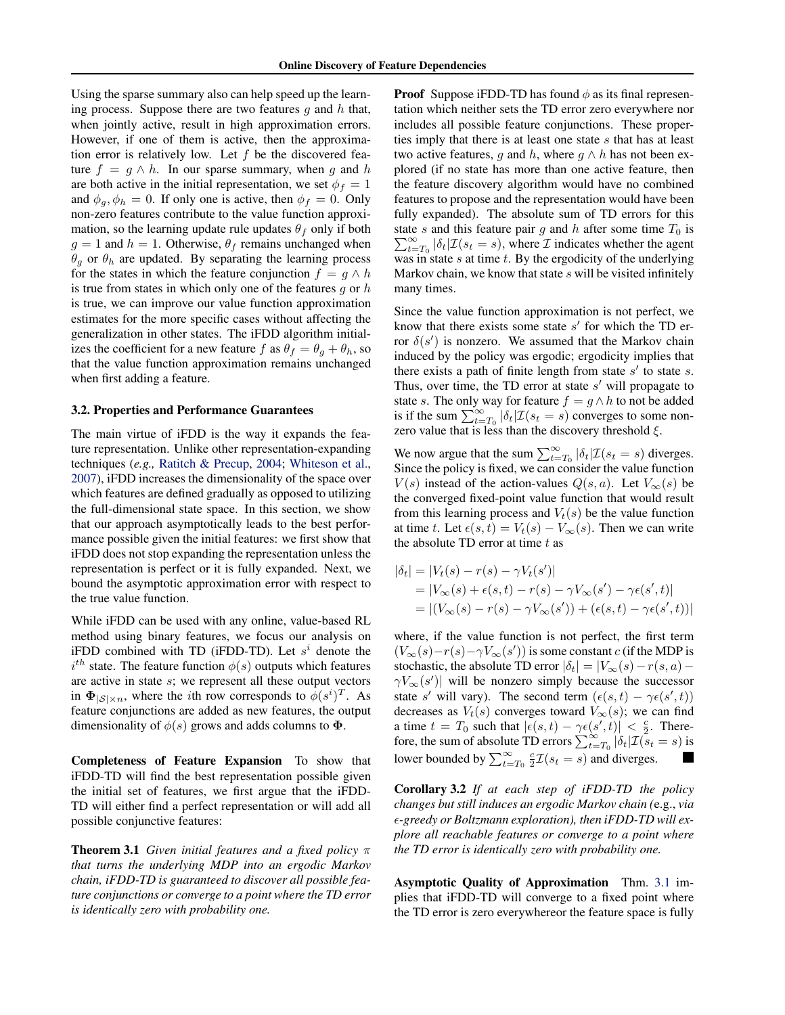<span id="page-3-0"></span>Using the sparse summary also can help speed up the learning process. Suppose there are two features  $g$  and  $h$  that, when jointly active, result in high approximation errors. However, if one of them is active, then the approximation error is relatively low. Let  $f$  be the discovered feature  $f = g \wedge h$ . In our sparse summary, when g and h are both active in the initial representation, we set  $\phi_f = 1$ and  $\phi_q$ ,  $\phi_h = 0$ . If only one is active, then  $\phi_f = 0$ . Only non-zero features contribute to the value function approximation, so the learning update rule updates  $\theta_f$  only if both  $g = 1$  and  $h = 1$ . Otherwise,  $\theta_f$  remains unchanged when  $\theta_q$  or  $\theta_h$  are updated. By separating the learning process for the states in which the feature conjunction  $f = g \wedge h$ is true from states in which only one of the features  $g$  or  $h$ is true, we can improve our value function approximation estimates for the more specific cases without affecting the generalization in other states. The iFDD algorithm initializes the coefficient for a new feature f as  $\theta_f = \theta_g + \theta_h$ , so that the value function approximation remains unchanged when first adding a feature.

#### 3.2. Properties and Performance Guarantees

The main virtue of iFDD is the way it expands the feature representation. Unlike other representation-expanding techniques (*e.g.,* [Ratitch & Precup,](#page-7-0) [2004;](#page-7-0) [Whiteson et al.,](#page-7-0) [2007\)](#page-7-0), iFDD increases the dimensionality of the space over which features are defined gradually as opposed to utilizing the full-dimensional state space. In this section, we show that our approach asymptotically leads to the best performance possible given the initial features: we first show that iFDD does not stop expanding the representation unless the representation is perfect or it is fully expanded. Next, we bound the asymptotic approximation error with respect to the true value function.

While iFDD can be used with any online, value-based RL method using binary features, we focus our analysis on iFDD combined with TD (iFDD-TD). Let  $s^i$  denote the  $i^{th}$  state. The feature function  $\phi(s)$  outputs which features are active in state s; we represent all these output vectors in  $\Phi_{|S|\times n}$ , where the *i*th row corresponds to  $\phi(s^i)^T$ . As feature conjunctions are added as new features, the output dimensionality of  $\phi(s)$  grows and adds columns to  $\Phi$ .

Completeness of Feature Expansion To show that iFDD-TD will find the best representation possible given the initial set of features, we first argue that the iFDD-TD will either find a perfect representation or will add all possible conjunctive features:

Theorem 3.1 *Given initial features and a fixed policy* π *that turns the underlying MDP into an ergodic Markov chain, iFDD-TD is guaranteed to discover all possible feature conjunctions or converge to a point where the TD error is identically zero with probability one.*

**Proof** Suppose iFDD-TD has found  $\phi$  as its final representation which neither sets the TD error zero everywhere nor includes all possible feature conjunctions. These properties imply that there is at least one state  $s$  that has at least two active features, g and h, where  $g \wedge h$  has not been explored (if no state has more than one active feature, then the feature discovery algorithm would have no combined features to propose and the representation would have been fully expanded). The absolute sum of TD errors for this  $\sum_{t=1}^{\infty}$ state s and this feature pair g and h after some time  $T_0$  is  $\sum_{t=T_0}^{\infty} |\delta_t| \mathcal{I}(s_t = s)$ , where  $\mathcal I$  indicates whether the agent was in state  $s$  at time  $t$ . By the ergodicity of the underlying Markov chain, we know that state  $s$  will be visited infinitely many times.

Since the value function approximation is not perfect, we know that there exists some state  $s'$  for which the TD error  $\delta(s')$  is nonzero. We assumed that the Markov chain induced by the policy was ergodic; ergodicity implies that there exists a path of finite length from state  $s'$  to state  $s$ . Thus, over time, the TD error at state  $s'$  will propagate to state s. The only way for feature  $f = g \wedge h$  to not be added is if the sum  $\sum_{t=T_0}^{\infty} |\delta_t| \mathcal{I}(s_t = s)$  converges to some nonzero value that is less than the discovery threshold  $\xi$ .

We now argue that the sum  $\sum_{t=T_0}^{\infty} |\delta_t| \mathcal{I}(s_t = s)$  diverges. Since the policy is fixed, we can consider the value function  $V(s)$  instead of the action-values  $Q(s, a)$ . Let  $V_{\infty}(s)$  be the converged fixed-point value function that would result from this learning process and  $V_t(s)$  be the value function at time t. Let  $\epsilon(s, t) = V_t(s) - V_\infty(s)$ . Then we can write the absolute TD error at time  $t$  as

$$
|\delta_t| = |V_t(s) - r(s) - \gamma V_t(s')|
$$
  
=  $|V_\infty(s) + \epsilon(s, t) - r(s) - \gamma V_\infty(s') - \gamma \epsilon(s', t)|$   
=  $|(V_\infty(s) - r(s) - \gamma V_\infty(s')) + (\epsilon(s, t) - \gamma \epsilon(s', t))|$ 

where, if the value function is not perfect, the first term  $(V_\infty(s) - r(s) - \gamma V_\infty(s'))$  is some constant c (if the MDP is stochastic, the absolute TD error  $|\delta_t| = |V_\infty(s) - r(s, a) \gamma V_{\infty}(s')$  will be nonzero simply because the successor state s' will vary). The second term  $(\epsilon(s,t) - \gamma \epsilon(s',t))$ decreases as  $V_t(s)$  converges toward  $V_\infty(s)$ ; we can find a time  $t = T_0$  such that  $|\epsilon(s,t) - \gamma \epsilon(s',t)| < \frac{c}{2}$ . Therefore, the sum of absolute TD errors  $\sum_{t=T_0}^{\infty} |\delta_t| \mathcal{I}(\mathcal{S}_t = s)$  is lower bounded by  $\sum_{t=T_0}^{\infty} \frac{c}{2} \mathcal{I}(s_t = s)$  and diverges.

Corollary 3.2 *If at each step of iFDD-TD the policy changes but still induces an ergodic Markov chain (*e.g., *via -greedy or Boltzmann exploration), then iFDD-TD will explore all reachable features or converge to a point where the TD error is identically zero with probability one.*

Asymptotic Quality of Approximation Thm. 3.1 implies that iFDD-TD will converge to a fixed point where the TD error is zero everywhereor the feature space is fully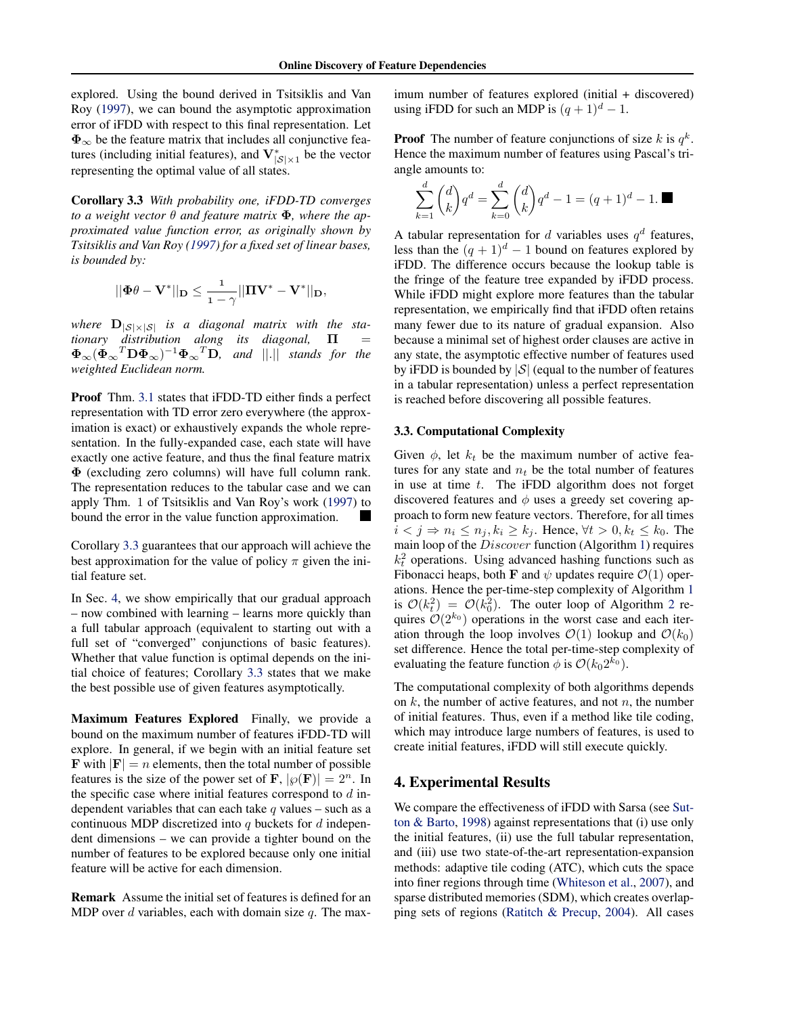<span id="page-4-0"></span>explored. Using the bound derived in Tsitsiklis and Van Roy [\(1997\)](#page-7-0), we can bound the asymptotic approximation error of iFDD with respect to this final representation. Let  $\Phi_{\infty}$  be the feature matrix that includes all conjunctive features (including initial features), and  $V^*_{|S| \times 1}$  be the vector representing the optimal value of all states.

Corollary 3.3 *With probability one, iFDD-TD converges to a weight vector* θ *and feature matrix* Φ*, where the approximated value function error, as originally shown by Tsitsiklis and Van Roy [\(1997\)](#page-7-0) for a fixed set of linear bases, is bounded by:*

$$
||\Phi\theta-\mathbf{V}^*||_\mathbf{D}\leq \frac{1}{1-\gamma}||\mathbf{\Pi}\mathbf{V}^*-\mathbf{V}^*||_\mathbf{D},
$$

where  $D_{|S|\times|S|}$  *is a diagonal matrix with the stationary distribution along its diagonal,* Π =  $\Phi_{\infty}(\Phi_{\infty}^T \mathbf{D} \Phi_{\infty})^{-1} \Phi_{\infty}^T \mathbf{D}$ , and  $||.||$  stands for the *weighted Euclidean norm.*

Proof Thm. [3.1](#page-3-0) states that iFDD-TD either finds a perfect representation with TD error zero everywhere (the approximation is exact) or exhaustively expands the whole representation. In the fully-expanded case, each state will have exactly one active feature, and thus the final feature matrix Φ (excluding zero columns) will have full column rank. The representation reduces to the tabular case and we can apply Thm. 1 of Tsitsiklis and Van Roy's work [\(1997\)](#page-7-0) to bound the error in the value function approximation.

Corollary 3.3 guarantees that our approach will achieve the best approximation for the value of policy  $\pi$  given the initial feature set.

In Sec. 4, we show empirically that our gradual approach – now combined with learning – learns more quickly than a full tabular approach (equivalent to starting out with a full set of "converged" conjunctions of basic features). Whether that value function is optimal depends on the initial choice of features; Corollary 3.3 states that we make the best possible use of given features asymptotically.

Maximum Features Explored Finally, we provide a bound on the maximum number of features iFDD-TD will explore. In general, if we begin with an initial feature set **F** with  $|F| = n$  elements, then the total number of possible features is the size of the power set of **F**,  $|\wp(\mathbf{F})| = 2^n$ . In the specific case where initial features correspond to  $d$  independent variables that can each take  $q$  values – such as a continuous MDP discretized into  $q$  buckets for  $d$  independent dimensions – we can provide a tighter bound on the number of features to be explored because only one initial feature will be active for each dimension.

Remark Assume the initial set of features is defined for an MDP over  $d$  variables, each with domain size  $q$ . The maximum number of features explored (initial + discovered) using iFDD for such an MDP is  $(q + 1)^d - 1$ .

**Proof** The number of feature conjunctions of size  $k$  is  $q^k$ . Hence the maximum number of features using Pascal's triangle amounts to:

$$
\sum_{k=1}^{d} \binom{d}{k} q^d = \sum_{k=0}^{d} \binom{d}{k} q^d - 1 = (q+1)^d - 1.
$$

A tabular representation for  $d$  variables uses  $q^d$  features, less than the  $(q + 1)^d - 1$  bound on features explored by iFDD. The difference occurs because the lookup table is the fringe of the feature tree expanded by iFDD process. While iFDD might explore more features than the tabular representation, we empirically find that iFDD often retains many fewer due to its nature of gradual expansion. Also because a minimal set of highest order clauses are active in any state, the asymptotic effective number of features used by iFDD is bounded by  $|S|$  (equal to the number of features in a tabular representation) unless a perfect representation is reached before discovering all possible features.

#### 3.3. Computational Complexity

Given  $\phi$ , let  $k_t$  be the maximum number of active features for any state and  $n_t$  be the total number of features in use at time  $t$ . The iFDD algorithm does not forget discovered features and  $\phi$  uses a greedy set covering approach to form new feature vectors. Therefore, for all times  $i < j \Rightarrow n_i \leq n_j, k_i \geq k_j$ . Hence,  $\forall t > 0, k_t \leq k_0$ . The main loop of the Discover function (Algorithm [1\)](#page-2-0) requires  $k_t^2$  operations. Using advanced hashing functions such as Fibonacci heaps, both F and  $\psi$  updates require  $\mathcal{O}(1)$  operations. Hence the per-time-step complexity of Algorithm [1](#page-2-0) is  $\mathcal{O}(k_t^2) = \mathcal{O}(k_0^2)$  $\mathcal{O}(k_t^2) = \mathcal{O}(k_0^2)$  $\mathcal{O}(k_t^2) = \mathcal{O}(k_0^2)$ . The outer loop of Algorithm 2 requires  $\mathcal{O}(2^{k_0})$  operations in the worst case and each iteration through the loop involves  $\mathcal{O}(1)$  lookup and  $\mathcal{O}(k_0)$ set difference. Hence the total per-time-step complexity of evaluating the feature function  $\phi$  is  $\mathcal{O}(k_0 2^{k_0})$ .

The computational complexity of both algorithms depends on  $k$ , the number of active features, and not  $n$ , the number of initial features. Thus, even if a method like tile coding, which may introduce large numbers of features, is used to create initial features, iFDD will still execute quickly.

# 4. Experimental Results

We compare the effectiveness of iFDD with Sarsa (see [Sut](#page-7-0)[ton & Barto,](#page-7-0) [1998\)](#page-7-0) against representations that (i) use only the initial features, (ii) use the full tabular representation, and (iii) use two state-of-the-art representation-expansion methods: adaptive tile coding (ATC), which cuts the space into finer regions through time [\(Whiteson et al.,](#page-7-0) [2007\)](#page-7-0), and sparse distributed memories (SDM), which creates overlapping sets of regions [\(Ratitch & Precup,](#page-7-0) [2004\)](#page-7-0). All cases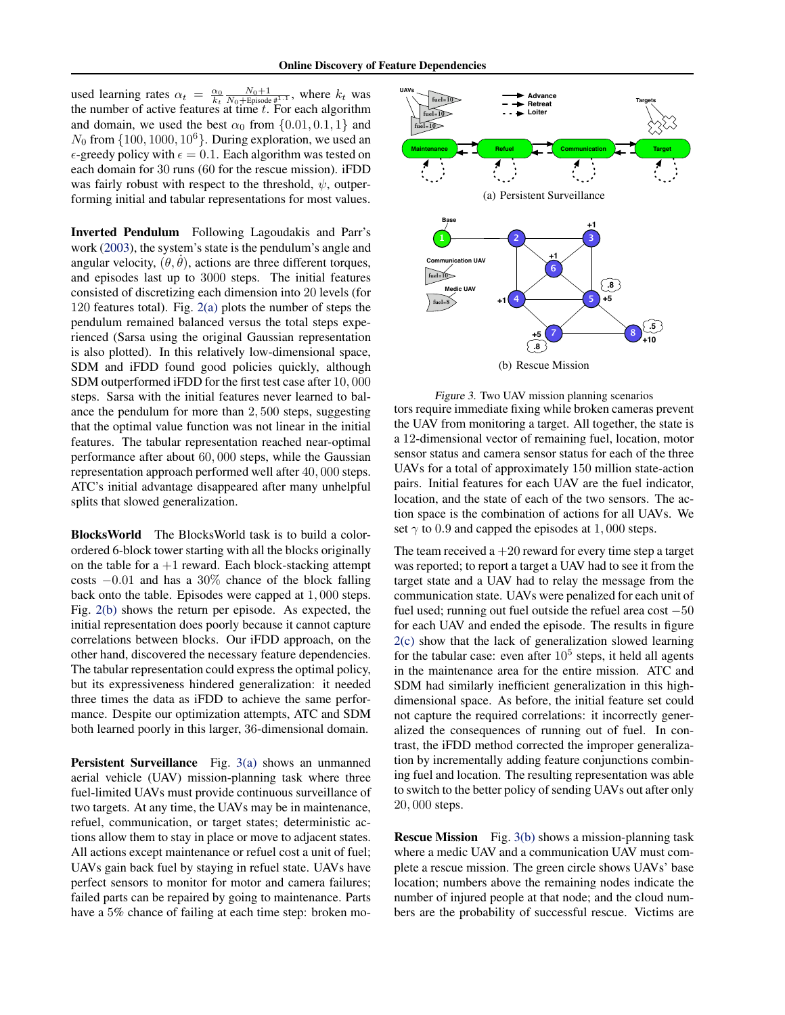used learning rates  $\alpha_t = \frac{\alpha_0}{k_t} \frac{N_0 + 1}{N_0 + \text{Episode}}$ , where  $k_t$  was the number of active features at time  $t$ . For each algorithm and domain, we used the best  $\alpha_0$  from  $\{0.01, 0.1, 1\}$  and  $N_0$  from  $\{100, 1000, 10^6\}$ . During exploration, we used an  $\epsilon$ -greedy policy with  $\epsilon = 0.1$ . Each algorithm was tested on each domain for 30 runs (60 for the rescue mission). iFDD was fairly robust with respect to the threshold,  $\psi$ , outperforming initial and tabular representations for most values.

Inverted Pendulum Following Lagoudakis and Parr's work [\(2003\)](#page-7-0), the system's state is the pendulum's angle and angular velocity,  $(\theta, \theta)$ , actions are three different torques, and episodes last up to 3000 steps. The initial features consisted of discretizing each dimension into 20 levels (for 120 features total). Fig. [2\(a\)](#page-6-0) plots the number of steps the pendulum remained balanced versus the total steps experienced (Sarsa using the original Gaussian representation is also plotted). In this relatively low-dimensional space, SDM and iFDD found good policies quickly, although SDM outperformed iFDD for the first test case after 10, 000 steps. Sarsa with the initial features never learned to balance the pendulum for more than 2, 500 steps, suggesting that the optimal value function was not linear in the initial features. The tabular representation reached near-optimal performance after about 60, 000 steps, while the Gaussian representation approach performed well after 40, 000 steps. ATC's initial advantage disappeared after many unhelpful splits that slowed generalization. representation with  $\sim$  10.1. Each algorithm was tested on  $\sim$  10.1 and a step in the step in the step in the step in the step in the step in the step in the step in the step in the step in the step in the step in the s

BlocksWorld The BlocksWorld task is to build a colorordered 6-block tower starting with all the blocks originally on the table for  $a + 1$  reward. Each block-stacking attempt costs −0.01 and has a 30% chance of the block falling back onto the table. Episodes were capped at 1, 000 steps. Fig. [2\(b\)](#page-6-0) shows the return per episode. As expected, the initial representation does poorly because it cannot capture correlations between blocks. Our iFDD approach, on the other hand, discovered the necessary feature dependencies. The tabular representation could express the optimal policy, but its expressiveness hindered generalization: it needed three times the data as iFDD to achieve the same performance. Despite our optimization attempts, ATC and SDM both learned poorly in this larger, 36-dimensional domain.

Persistent Surveillance Fig. 3(a) shows an unmanned aerial vehicle (UAV) mission-planning task where three fuel-limited UAVs must provide continuous surveillance of two targets. At any time, the UAVs may be in maintenance, refuel, communication, or target states; deterministic actions allow them to stay in place or move to adjacent states. All actions except maintenance or refuel cost a unit of fuel; UAVs gain back fuel by staying in refuel state. UAVs have perfect sensors to monitor for motor and camera failures; failed parts can be repaired by going to maintenance. Parts



Figure 3. Two UAV mission planning scenarios tors require immediate fixing while broken cameras prevent the UAV from monitoring a target. All together, the state is a 12-dimensional vector of remaining fuel, location, motor sensor status and camera sensor status for each of the three UAVs for a total of approximately 150 million state-action pairs. Initial features for each UAV are the fuel indicator, location, and the state of each of the two sensors. The action space is the combination of actions for all UAVs. We set  $\gamma$  to 0.9 and capped the episodes at 1,000 steps.

The team received  $a + 20$  reward for every time step a target was reported; to report a target a UAV had to see it from the target state and a UAV had to relay the message from the communication state. UAVs were penalized for each unit of fuel used; running out fuel outside the refuel area cost −50 for each UAV and ended the episode. The results in figure [2\(c\)](#page-6-0) show that the lack of generalization slowed learning for the tabular case: even after  $10^5$  steps, it held all agents in the maintenance area for the entire mission. ATC and SDM had similarly inefficient generalization in this highdimensional space. As before, the initial feature set could not capture the required correlations: it incorrectly generalized the consequences of running out of fuel. In contrast, the iFDD method corrected the improper generalization by incrementally adding feature conjunctions combining fuel and location. The resulting representation was able to switch to the better policy of sending UAVs out after only 20, 000 steps.

**Rescue Mission** Fig. 3(b) shows a mission-planning task where a medic UAV and a communication UAV must complete a rescue mission. The green circle shows UAVs' base location; numbers above the remaining nodes indicate the number of injured people at that node; and the cloud numbers are the probability of successful rescue. Victims are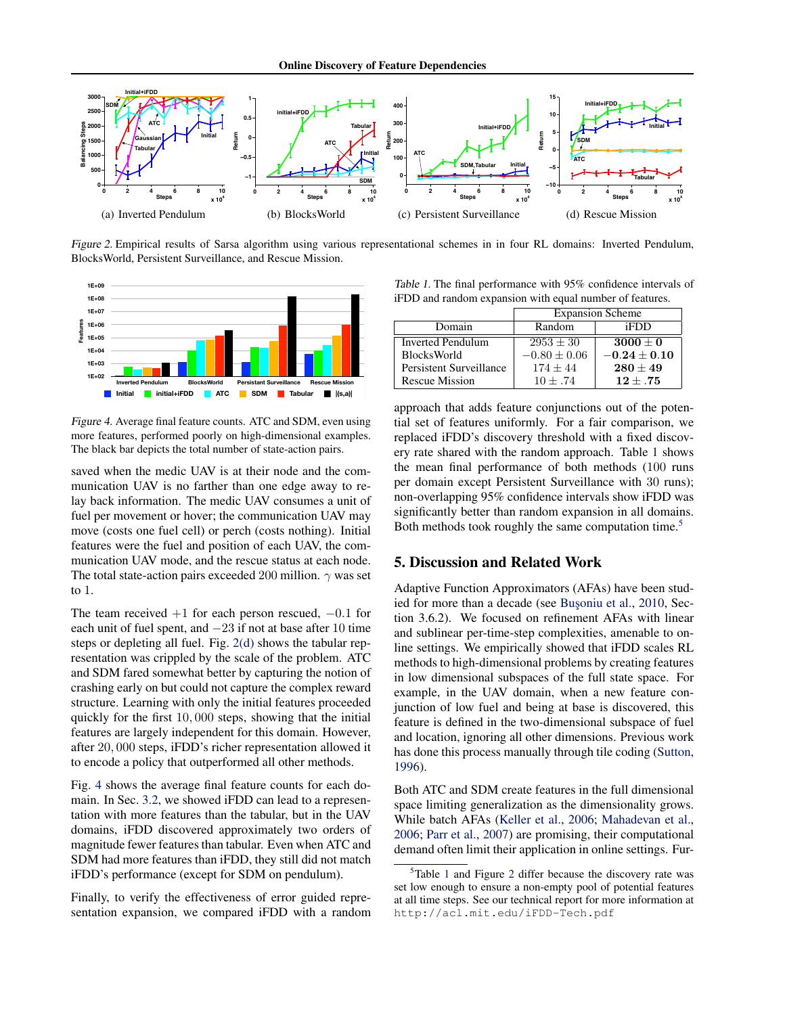<span id="page-6-0"></span>

Figure 2. Empirical results of Sarsa algorithm using various representational schemes in in four RL domains: Inverted Pendulum, Total Quickettent Surveillance, and Rescue Mission.



Figure 4. Average final feature counts. ATC and SDM, even using more features, performed poorly on high-dimensional examples. The black bar depicts the total number of state-action pairs.

saved when the medic UAV is at their node and the communication UAV is no farther than one edge away to relay back information. The medic UAV consumes a unit of fuel per movement or hover; the communication UAV may move (costs one fuel cell) or perch (costs nothing). Initial features were the fuel and position of each UAV, the communication UAV mode, and the rescue status at each node. The total state-action pairs exceeded 200 million.  $\gamma$  was set to 1.

The team received  $+1$  for each person rescued,  $-0.1$  for each unit of fuel spent, and −23 if not at base after 10 time steps or depleting all fuel. Fig. 2(d) shows the tabular representation was crippled by the scale of the problem. ATC and SDM fared somewhat better by capturing the notion of crashing early on but could not capture the complex reward structure. Learning with only the initial features proceeded quickly for the first 10, 000 steps, showing that the initial features are largely independent for this domain. However, after 20, 000 steps, iFDD's richer representation allowed it to encode a policy that outperformed all other methods.

Fig. 4 shows the average final feature counts for each domain. In Sec. [3.2,](#page-3-0) we showed iFDD can lead to a representation with more features than the tabular, but in the UAV domains, iFDD discovered approximately two orders of magnitude fewer features than tabular. Even when ATC and SDM had more features than iFDD, they still did not match iFDD's performance (except for SDM on pendulum).

Finally, to verify the effectiveness of error guided representation expansion, we compared iFDD with a random

iFDD and random expansion with equal number of features. Table 1. The final performance with 95% confidence intervals of

|                         | <b>Expansion Scheme</b> |                |
|-------------------------|-------------------------|----------------|
| Domain                  | Random                  | iFDD           |
| Inverted Pendulum       | $2953 \pm 30$           | $3000 + 0$     |
| <b>BlocksWorld</b>      | $-0.80 + 0.06$          | $-0.24 + 0.10$ |
| Persistent Surveillance | $174 + 44$              | $280 + 49$     |
| Rescue Mission          | $10 + .74$              | $12 + .75$     |

approach that adds feature conjunctions out of the potential set of features uniformly. For a fair comparison, we replaced iFDD's discovery threshold with a fixed discovery rate shared with the random approach. Table 1 shows the mean final performance of both methods (100 runs per domain except Persistent Surveillance with 30 runs); non-overlapping 95% confidence intervals show iFDD was significantly better than random expansion in all domains. Both methods took roughly the same computation time.<sup>5</sup>

# 5. Discussion and Related Work

Adaptive Function Approximators (AFAs) have been stud-ied for more than a decade (see Busoniu et al., [2010,](#page-7-0) Section 3.6.2). We focused on refinement AFAs with linear and sublinear per-time-step complexities, amenable to online settings. We empirically showed that iFDD scales RL methods to high-dimensional problems by creating features in low dimensional subspaces of the full state space. For example, in the UAV domain, when a new feature conjunction of low fuel and being at base is discovered, this feature is defined in the two-dimensional subspace of fuel and location, ignoring all other dimensions. Previous work has done this process manually through tile coding [\(Sutton,](#page-7-0) [1996\)](#page-7-0).

Both ATC and SDM create features in the full dimensional space limiting generalization as the dimensionality grows. While batch AFAs [\(Keller et al.,](#page-7-0) [2006;](#page-7-0) [Mahadevan et al.,](#page-7-0) [2006;](#page-7-0) [Parr et al.,](#page-7-0) [2007\)](#page-7-0) are promising, their computational demand often limit their application in online settings. Fur-

 $5$ Table 1 and Figure 2 differ because the discovery rate was set low enough to ensure a non-empty pool of potential features at all time steps. See our technical report for more information at http://acl.mit.edu/iFDD-Tech.pdf